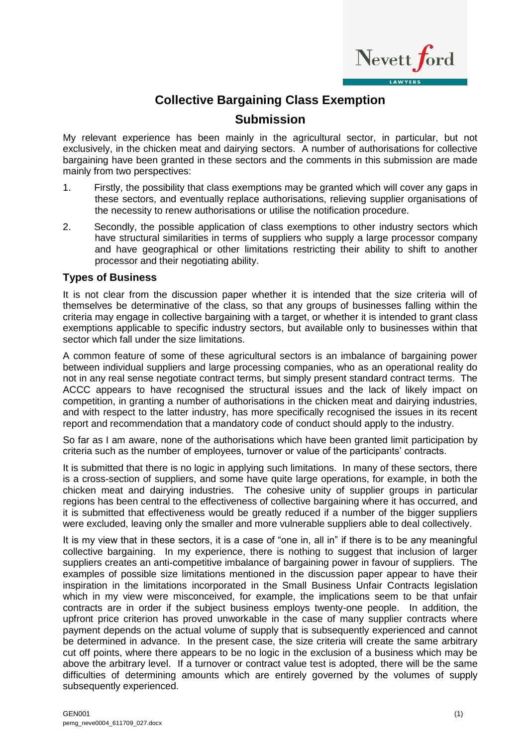

## **Collective Bargaining Class Exemption**

## **Submission**

My relevant experience has been mainly in the agricultural sector, in particular, but not exclusively, in the chicken meat and dairying sectors. A number of authorisations for collective bargaining have been granted in these sectors and the comments in this submission are made mainly from two perspectives:

- 1. Firstly, the possibility that class exemptions may be granted which will cover any gaps in these sectors, and eventually replace authorisations, relieving supplier organisations of the necessity to renew authorisations or utilise the notification procedure.
- 2. Secondly, the possible application of class exemptions to other industry sectors which have structural similarities in terms of suppliers who supply a large processor company and have geographical or other limitations restricting their ability to shift to another processor and their negotiating ability.

## **Types of Business**

It is not clear from the discussion paper whether it is intended that the size criteria will of themselves be determinative of the class, so that any groups of businesses falling within the criteria may engage in collective bargaining with a target, or whether it is intended to grant class exemptions applicable to specific industry sectors, but available only to businesses within that sector which fall under the size limitations.

A common feature of some of these agricultural sectors is an imbalance of bargaining power between individual suppliers and large processing companies, who as an operational reality do not in any real sense negotiate contract terms, but simply present standard contract terms. The ACCC appears to have recognised the structural issues and the lack of likely impact on competition, in granting a number of authorisations in the chicken meat and dairying industries, and with respect to the latter industry, has more specifically recognised the issues in its recent report and recommendation that a mandatory code of conduct should apply to the industry.

So far as I am aware, none of the authorisations which have been granted limit participation by criteria such as the number of employees, turnover or value of the participants' contracts.

It is submitted that there is no logic in applying such limitations. In many of these sectors, there is a cross-section of suppliers, and some have quite large operations, for example, in both the chicken meat and dairying industries. The cohesive unity of supplier groups in particular regions has been central to the effectiveness of collective bargaining where it has occurred, and it is submitted that effectiveness would be greatly reduced if a number of the bigger suppliers were excluded, leaving only the smaller and more vulnerable suppliers able to deal collectively.

It is my view that in these sectors, it is a case of "one in, all in" if there is to be any meaningful collective bargaining. In my experience, there is nothing to suggest that inclusion of larger suppliers creates an anti-competitive imbalance of bargaining power in favour of suppliers. The examples of possible size limitations mentioned in the discussion paper appear to have their inspiration in the limitations incorporated in the Small Business Unfair Contracts legislation which in my view were misconceived, for example, the implications seem to be that unfair contracts are in order if the subject business employs twenty-one people. In addition, the upfront price criterion has proved unworkable in the case of many supplier contracts where payment depends on the actual volume of supply that is subsequently experienced and cannot be determined in advance. In the present case, the size criteria will create the same arbitrary cut off points, where there appears to be no logic in the exclusion of a business which may be above the arbitrary level. If a turnover or contract value test is adopted, there will be the same difficulties of determining amounts which are entirely governed by the volumes of supply subsequently experienced.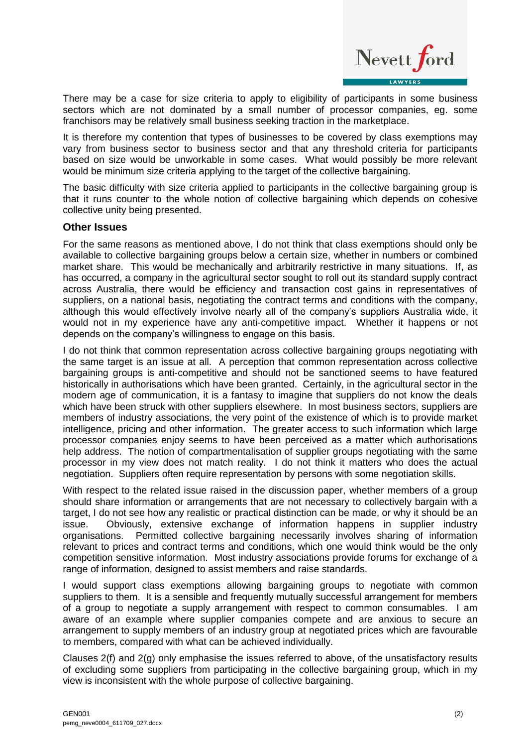

There may be a case for size criteria to apply to eligibility of participants in some business sectors which are not dominated by a small number of processor companies, eg. some franchisors may be relatively small business seeking traction in the marketplace.

It is therefore my contention that types of businesses to be covered by class exemptions may vary from business sector to business sector and that any threshold criteria for participants based on size would be unworkable in some cases. What would possibly be more relevant would be minimum size criteria applying to the target of the collective bargaining.

The basic difficulty with size criteria applied to participants in the collective bargaining group is that it runs counter to the whole notion of collective bargaining which depends on cohesive collective unity being presented.

## **Other Issues**

For the same reasons as mentioned above, I do not think that class exemptions should only be available to collective bargaining groups below a certain size, whether in numbers or combined market share. This would be mechanically and arbitrarily restrictive in many situations. If, as has occurred, a company in the agricultural sector sought to roll out its standard supply contract across Australia, there would be efficiency and transaction cost gains in representatives of suppliers, on a national basis, negotiating the contract terms and conditions with the company, although this would effectively involve nearly all of the company's suppliers Australia wide, it would not in my experience have any anti-competitive impact. Whether it happens or not depends on the company's willingness to engage on this basis.

I do not think that common representation across collective bargaining groups negotiating with the same target is an issue at all. A perception that common representation across collective bargaining groups is anti-competitive and should not be sanctioned seems to have featured historically in authorisations which have been granted. Certainly, in the agricultural sector in the modern age of communication, it is a fantasy to imagine that suppliers do not know the deals which have been struck with other suppliers elsewhere. In most business sectors, suppliers are members of industry associations, the very point of the existence of which is to provide market intelligence, pricing and other information. The greater access to such information which large processor companies enjoy seems to have been perceived as a matter which authorisations help address. The notion of compartmentalisation of supplier groups negotiating with the same processor in my view does not match reality. I do not think it matters who does the actual negotiation. Suppliers often require representation by persons with some negotiation skills.

With respect to the related issue raised in the discussion paper, whether members of a group should share information or arrangements that are not necessary to collectively bargain with a target, I do not see how any realistic or practical distinction can be made, or why it should be an issue. Obviously, extensive exchange of information happens in supplier industry organisations. Permitted collective bargaining necessarily involves sharing of information relevant to prices and contract terms and conditions, which one would think would be the only competition sensitive information. Most industry associations provide forums for exchange of a range of information, designed to assist members and raise standards.

I would support class exemptions allowing bargaining groups to negotiate with common suppliers to them. It is a sensible and frequently mutually successful arrangement for members of a group to negotiate a supply arrangement with respect to common consumables. I am aware of an example where supplier companies compete and are anxious to secure an arrangement to supply members of an industry group at negotiated prices which are favourable to members, compared with what can be achieved individually.

Clauses 2(f) and 2(g) only emphasise the issues referred to above, of the unsatisfactory results of excluding some suppliers from participating in the collective bargaining group, which in my view is inconsistent with the whole purpose of collective bargaining.